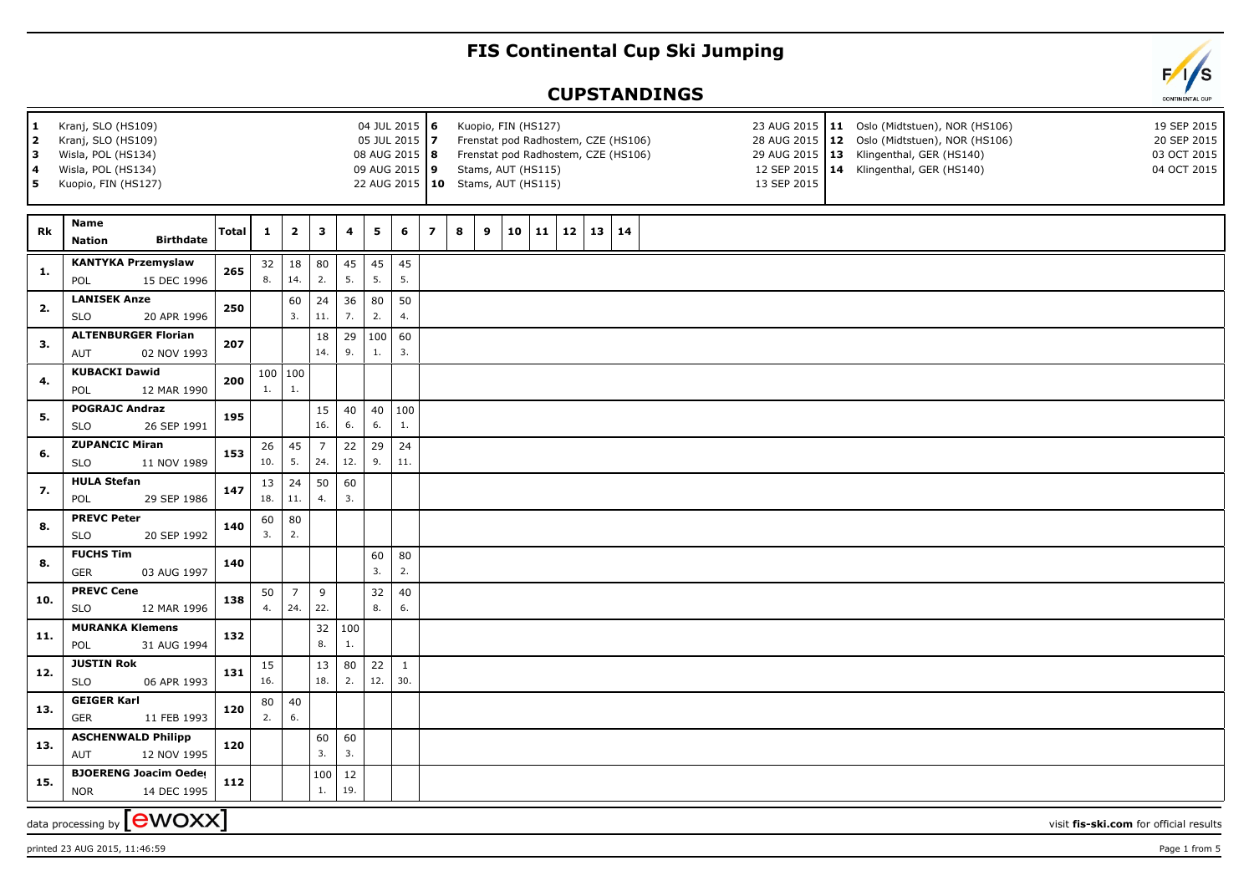## **FIS Continental Cup Ski Jumping**

## **CUPSTANDINGS**



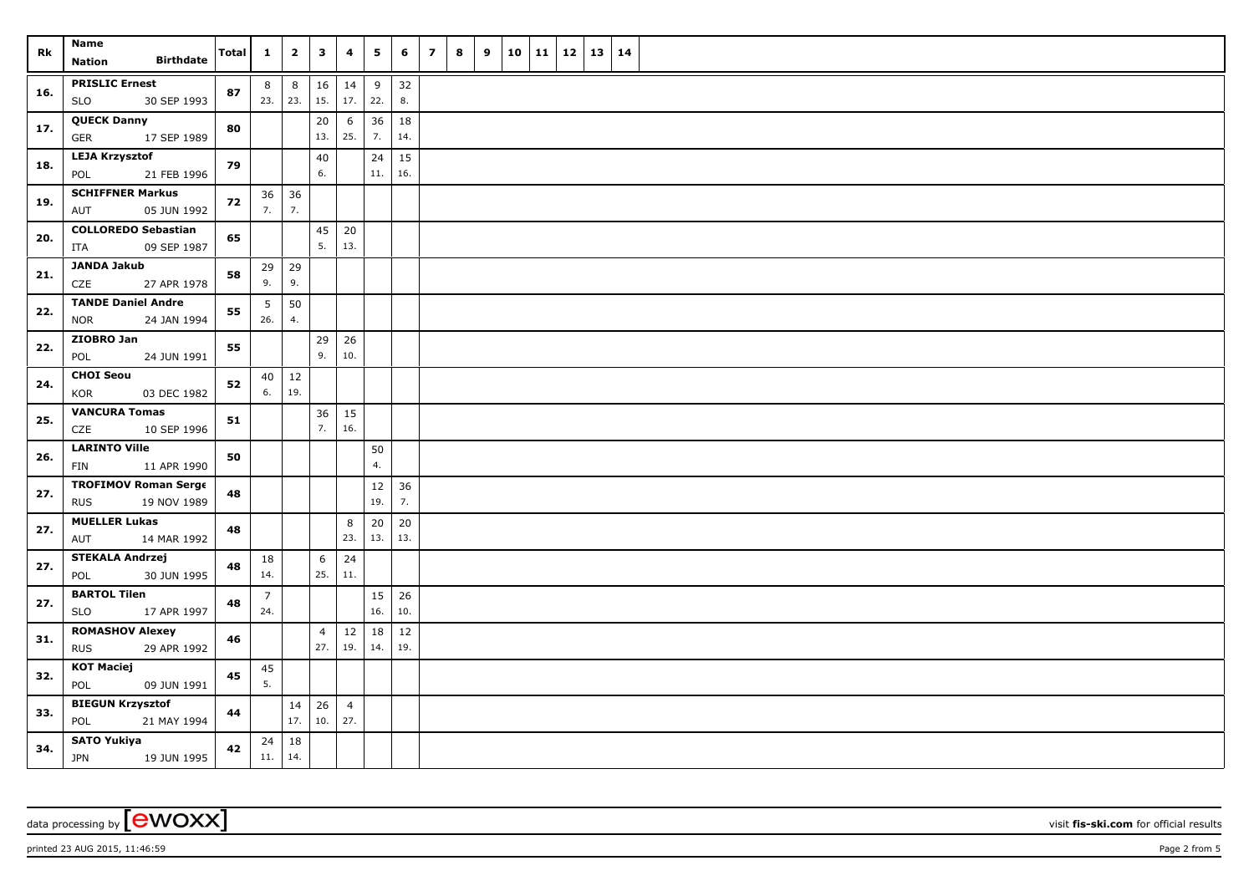| Rk  | Name<br><b>Birthdate</b><br><b>Nation</b>                | Total | $\mathbf{1}$          | $\mathbf{2}$       | $\mathbf{3}$          | 4                     | 5             | 6         | $\overline{z}$ | 8 | 9 | 10 | 11 | $12 \mid 13$ | 14 |  |
|-----|----------------------------------------------------------|-------|-----------------------|--------------------|-----------------------|-----------------------|---------------|-----------|----------------|---|---|----|----|--------------|----|--|
| 16. | <b>PRISLIC Ernest</b><br>30 SEP 1993<br><b>SLO</b>       | 87    | 8<br>23. 23.          | $\,$ 8 $\,$        | 16<br>15.             | 14<br>17.             | 9<br>22.      | 32<br>8.  |                |   |   |    |    |              |    |  |
| 17. | <b>QUECK Danny</b><br><b>GER</b><br>17 SEP 1989          | 80    |                       |                    | 20<br>13.             | 6<br>25.              | 36<br>7.      | 18<br>14. |                |   |   |    |    |              |    |  |
| 18. | <b>LEJA Krzysztof</b><br>POL<br>21 FEB 1996              | 79    |                       |                    | 40<br>6.              |                       | 24<br>11.     | 15<br>16. |                |   |   |    |    |              |    |  |
| 19. | <b>SCHIFFNER Markus</b><br>05 JUN 1992<br>AUT            | 72    | 36<br>7.              | 36<br>7.           |                       |                       |               |           |                |   |   |    |    |              |    |  |
| 20. | <b>COLLOREDO Sebastian</b><br>09 SEP 1987<br>ITA         | 65    |                       |                    | 45<br>5.              | $20\,$<br>13.         |               |           |                |   |   |    |    |              |    |  |
| 21. | <b>JANDA Jakub</b><br>CZE<br>27 APR 1978                 | 58    | 29<br>9.              | $ 29\rangle$<br>9. |                       |                       |               |           |                |   |   |    |    |              |    |  |
| 22. | <b>TANDE Daniel Andre</b><br>24 JAN 1994<br><b>NOR</b>   | 55    | 5<br>26.              | 50<br>4.           |                       |                       |               |           |                |   |   |    |    |              |    |  |
| 22. | ZIOBRO Jan<br>24 JUN 1991<br>POL                         | 55    |                       |                    | 29<br>9.              | 26<br>10.             |               |           |                |   |   |    |    |              |    |  |
| 24. | <b>CHOI Seou</b><br><b>KOR</b><br>03 DEC 1982            | 52    | 40<br>6.              | 12<br>19.          |                       |                       |               |           |                |   |   |    |    |              |    |  |
| 25. | <b>VANCURA Tomas</b><br>CZE<br>10 SEP 1996               | 51    |                       |                    | 36<br>7.              | 15<br>16.             |               |           |                |   |   |    |    |              |    |  |
| 26. | <b>LARINTO Ville</b><br>11 APR 1990<br>FIN               | 50    |                       |                    |                       |                       | 50<br>4.      |           |                |   |   |    |    |              |    |  |
| 27. | <b>TROFIMOV Roman Serge</b><br>19 NOV 1989<br><b>RUS</b> | 48    |                       |                    |                       |                       | $12\,$<br>19. | 36<br>7.  |                |   |   |    |    |              |    |  |
| 27. | <b>MUELLER Lukas</b><br>14 MAR 1992<br>AUT               | 48    |                       |                    |                       | 8<br>23.              | 20<br>13.     | 20<br>13. |                |   |   |    |    |              |    |  |
| 27. | <b>STEKALA Andrzej</b><br>30 JUN 1995<br>POL             | 48    | 18<br>14.             |                    | 6<br>25.              | 24<br>11.             |               |           |                |   |   |    |    |              |    |  |
| 27. | <b>BARTOL Tilen</b><br>17 APR 1997<br><b>SLO</b>         | 48    | $\overline{7}$<br>24. |                    |                       |                       | 15<br>16.     | 26<br>10. |                |   |   |    |    |              |    |  |
| 31. | <b>ROMASHOV Alexey</b><br><b>RUS</b><br>29 APR 1992      | 46    |                       |                    | $\overline{4}$<br>27. | 12<br>19.             | 18<br>14.     | 12<br>19. |                |   |   |    |    |              |    |  |
| 32. | <b>KOT Maciej</b><br>POL<br>09 JUN 1991                  | 45    | 45<br>5.              |                    |                       |                       |               |           |                |   |   |    |    |              |    |  |
| 33. | <b>BIEGUN Krzysztof</b><br>POL<br>21 MAY 1994            | 44    |                       | 14<br>17.          | 26<br>10.             | $\overline{4}$<br>27. |               |           |                |   |   |    |    |              |    |  |
| 34. | <b>SATO Yukiya</b><br><b>JPN</b><br>19 JUN 1995          | 42    | 24<br>11.             | 18<br>14.          |                       |                       |               |           |                |   |   |    |    |              |    |  |

data processing by **CWOXX** visit **fis-ski.com** for official results

printed 23 AUG 2015, 11:46:59 Page 2 from 5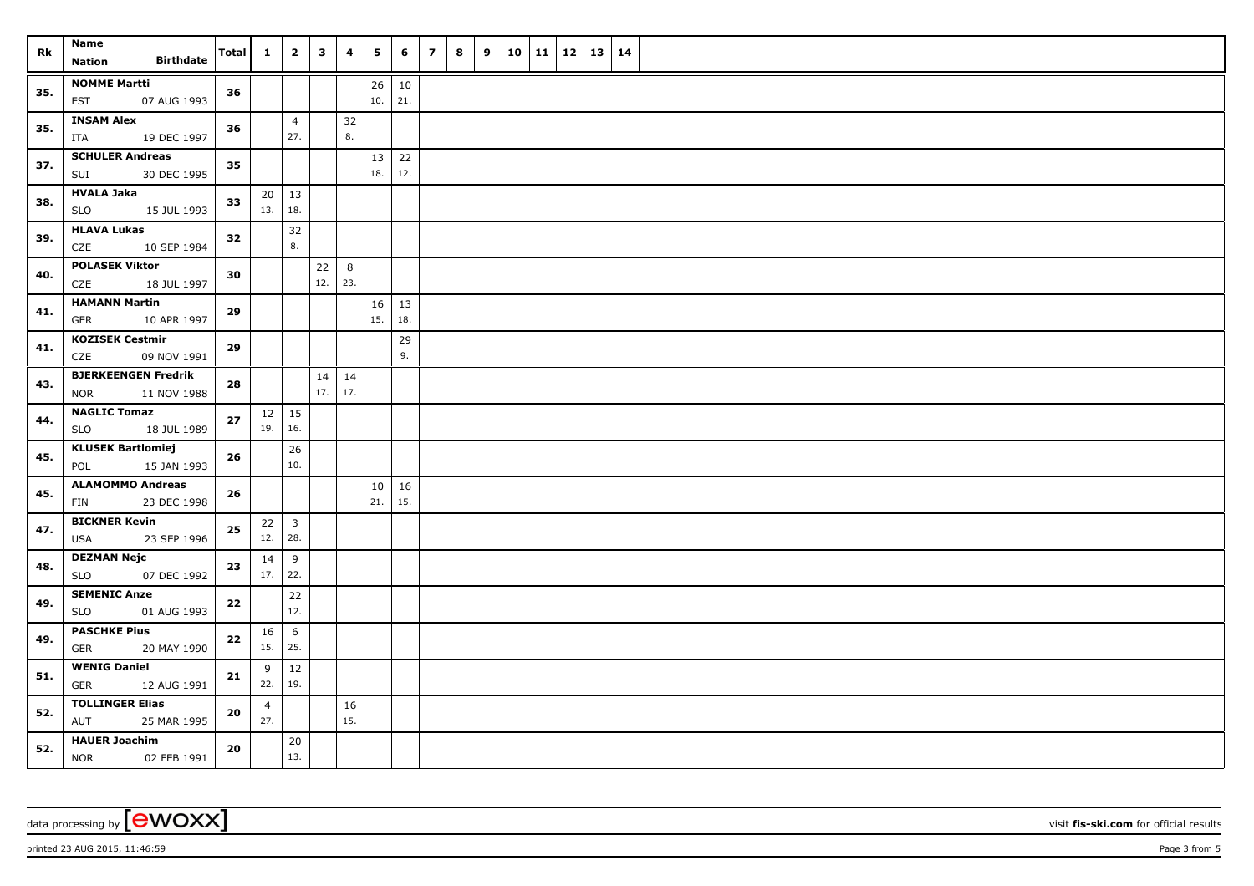| Rk  | <b>Name</b><br><b>Birthdate</b><br><b>Nation</b>        | Total      | $\mathbf{1}$        | $\overline{2}$          | $\overline{\mathbf{3}}$ | $\overline{\mathbf{4}}$ | 5         | 6             | $\overline{7}$ | 8 | 9 | 10 | 11 12 | $13 \mid 14$ |  |
|-----|---------------------------------------------------------|------------|---------------------|-------------------------|-------------------------|-------------------------|-----------|---------------|----------------|---|---|----|-------|--------------|--|
|     |                                                         |            |                     |                         |                         |                         |           |               |                |   |   |    |       |              |  |
| 35. | <b>NOMME Martti</b><br>07 AUG 1993<br><b>EST</b>        | 36         |                     |                         |                         |                         | 26<br>10. | $10\,$<br>21. |                |   |   |    |       |              |  |
| 35. | <b>INSAM Alex</b><br>19 DEC 1997<br>ITA                 | 36         |                     | $\overline{4}$<br>27.   |                         | 32<br>8.                |           |               |                |   |   |    |       |              |  |
| 37. | <b>SCHULER Andreas</b><br>SUI<br>30 DEC 1995            | 35         |                     |                         |                         |                         | 13<br>18. | 22<br>12.     |                |   |   |    |       |              |  |
| 38. | <b>HVALA Jaka</b>                                       | 33         | 20<br>13.           | 13                      |                         |                         |           |               |                |   |   |    |       |              |  |
|     | <b>SLO</b><br>15 JUL 1993                               |            |                     | 18.                     |                         |                         |           |               |                |   |   |    |       |              |  |
| 39. | <b>HLAVA Lukas</b><br>10 SEP 1984<br>CZE                | 32         |                     | 32<br>8.                |                         |                         |           |               |                |   |   |    |       |              |  |
| 40. | <b>POLASEK Viktor</b><br>CZE<br>18 JUL 1997             | 30         |                     |                         | 22<br>12.               | 8<br> 23.               |           |               |                |   |   |    |       |              |  |
| 41. | <b>HAMANN Martin</b><br>10 APR 1997<br>GER              | 29         |                     |                         |                         |                         | 16<br>15. | 13<br>18.     |                |   |   |    |       |              |  |
|     | <b>KOZISEK Cestmir</b>                                  |            |                     |                         |                         |                         |           |               |                |   |   |    |       |              |  |
| 41. | CZE<br>09 NOV 1991                                      | 29         |                     |                         |                         |                         |           | 29<br>9.      |                |   |   |    |       |              |  |
| 43. | <b>BJERKEENGEN Fredrik</b><br><b>NOR</b><br>11 NOV 1988 | 28         |                     |                         | 17.                     | $14 \mid 14$<br> 17.    |           |               |                |   |   |    |       |              |  |
|     | <b>NAGLIC Tomaz</b>                                     |            |                     |                         |                         |                         |           |               |                |   |   |    |       |              |  |
| 44. | <b>SLO</b><br>18 JUL 1989                               | 27         | $12 \mid 15$<br>19. | 16.                     |                         |                         |           |               |                |   |   |    |       |              |  |
| 45. | <b>KLUSEK Bartlomiej</b><br>POL<br>15 JAN 1993          | 26         |                     | 26<br>10.               |                         |                         |           |               |                |   |   |    |       |              |  |
|     | <b>ALAMOMMO Andreas</b>                                 |            |                     |                         |                         |                         | 10        | 16            |                |   |   |    |       |              |  |
| 45. | 23 DEC 1998<br>FIN                                      | 26         |                     |                         |                         |                         | 21.       | 15.           |                |   |   |    |       |              |  |
|     | <b>BICKNER Kevin</b>                                    |            | 22                  | $\overline{\mathbf{3}}$ |                         |                         |           |               |                |   |   |    |       |              |  |
| 47. | 23 SEP 1996<br><b>USA</b>                               | 25         | 12.                 | 28.                     |                         |                         |           |               |                |   |   |    |       |              |  |
| 48. | <b>DEZMAN Nejc</b>                                      | 23         | 14                  | 9                       |                         |                         |           |               |                |   |   |    |       |              |  |
|     | 07 DEC 1992<br><b>SLO</b>                               |            | $17.$ 22.           |                         |                         |                         |           |               |                |   |   |    |       |              |  |
| 49. | <b>SEMENIC Anze</b>                                     | $\bf{22}$  |                     | 22                      |                         |                         |           |               |                |   |   |    |       |              |  |
|     | SLO<br>01 AUG 1993                                      |            |                     | 12.                     |                         |                         |           |               |                |   |   |    |       |              |  |
| 49. | <b>PASCHKE Pius</b>                                     | ${\bf 22}$ | 16                  | 6                       |                         |                         |           |               |                |   |   |    |       |              |  |
|     | <b>GER</b><br>20 MAY 1990                               |            | 15.                 | 25.                     |                         |                         |           |               |                |   |   |    |       |              |  |
| 51. | <b>WENIG Daniel</b>                                     | 21         | 9                   | 12                      |                         |                         |           |               |                |   |   |    |       |              |  |
|     | <b>GER</b><br>12 AUG 1991                               |            | 22.                 | 19.                     |                         |                         |           |               |                |   |   |    |       |              |  |
| 52. | <b>TOLLINGER Elias</b><br>AUT<br>25 MAR 1995            | 20         | 4<br>27.            |                         |                         | 16<br>15.               |           |               |                |   |   |    |       |              |  |
|     | <b>HAUER Joachim</b>                                    |            |                     | 20                      |                         |                         |           |               |                |   |   |    |       |              |  |
| 52. | <b>NOR</b><br>02 FEB 1991                               | 20         |                     | 13.                     |                         |                         |           |               |                |   |   |    |       |              |  |

data processing by **CWOXX** visit **fis-ski.com** for official results

printed 23 AUG 2015, 11:46:59 **Page 3** from 5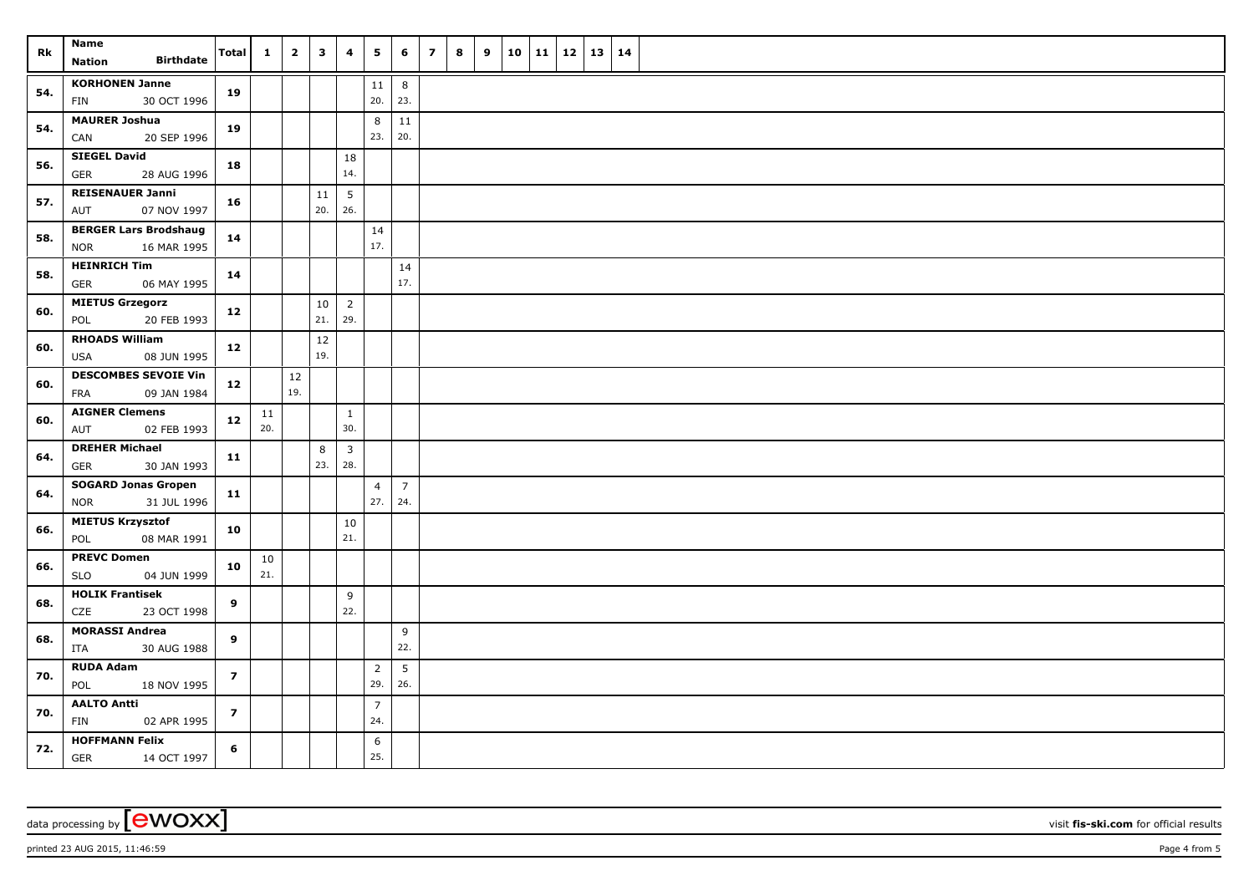| Rk  | <b>Name</b>                                               | <b>Total</b>   | $\mathbf{1}$ | $\overline{\mathbf{2}}$ | $\mathbf{3}$ | 4                     | 5                     | 6                     | $\overline{z}$ | 8 | 9 | 10 | 11 | $12 \mid 13$ | 14 |  |
|-----|-----------------------------------------------------------|----------------|--------------|-------------------------|--------------|-----------------------|-----------------------|-----------------------|----------------|---|---|----|----|--------------|----|--|
|     | <b>Birthdate</b><br><b>Nation</b>                         |                |              |                         |              |                       |                       |                       |                |   |   |    |    |              |    |  |
| 54. | <b>KORHONEN Janne</b><br>30 OCT 1996<br>FIN               | 19             |              |                         |              |                       | 11<br>20.             | 8<br>23.              |                |   |   |    |    |              |    |  |
| 54. | <b>MAURER Joshua</b><br>20 SEP 1996<br>CAN                | 19             |              |                         |              |                       | 8<br>23.              | 11<br>20.             |                |   |   |    |    |              |    |  |
| 56. | <b>SIEGEL David</b><br><b>GER</b><br>28 AUG 1996          | 18             |              |                         |              | 18<br>14.             |                       |                       |                |   |   |    |    |              |    |  |
| 57. | <b>REISENAUER Janni</b><br>AUT<br>07 NOV 1997             | 16             |              |                         | 11<br>20.    | 5<br>26.              |                       |                       |                |   |   |    |    |              |    |  |
| 58. | <b>BERGER Lars Brodshaug</b><br>16 MAR 1995<br><b>NOR</b> | 14             |              |                         |              |                       | 14<br>17.             |                       |                |   |   |    |    |              |    |  |
| 58. | <b>HEINRICH Tim</b><br>06 MAY 1995<br>GER                 | 14             |              |                         |              |                       |                       | 14<br>17.             |                |   |   |    |    |              |    |  |
| 60. | <b>MIETUS Grzegorz</b><br>20 FEB 1993<br>POL              | 12             |              |                         | 10<br>21.    | $\overline{2}$<br>29. |                       |                       |                |   |   |    |    |              |    |  |
| 60. | <b>RHOADS William</b><br><b>USA</b><br>08 JUN 1995        | 12             |              |                         | 12<br>19.    |                       |                       |                       |                |   |   |    |    |              |    |  |
| 60. | <b>DESCOMBES SEVOIE Vin</b><br>09 JAN 1984<br>FRA         | 12             |              | 12<br>19.               |              |                       |                       |                       |                |   |   |    |    |              |    |  |
| 60. | <b>AIGNER Clemens</b><br>AUT<br>02 FEB 1993               | 12             | 11<br>20.    |                         |              | $\mathbf{1}$<br>30.   |                       |                       |                |   |   |    |    |              |    |  |
| 64. | <b>DREHER Michael</b><br><b>GER</b><br>30 JAN 1993        | 11             |              |                         | 8<br>23.     | $\mathbf{3}$<br>28.   |                       |                       |                |   |   |    |    |              |    |  |
| 64. | <b>SOGARD Jonas Gropen</b><br><b>NOR</b><br>31 JUL 1996   | $11$           |              |                         |              |                       | $\overline{4}$<br>27. | $\overline{7}$<br>24. |                |   |   |    |    |              |    |  |
| 66. | <b>MIETUS Krzysztof</b><br>08 MAR 1991<br>POL             | 10             |              |                         |              | 10<br>21.             |                       |                       |                |   |   |    |    |              |    |  |
| 66. | <b>PREVC Domen</b><br><b>SLO</b><br>04 JUN 1999           | 10             | 10<br>21.    |                         |              |                       |                       |                       |                |   |   |    |    |              |    |  |
| 68. | <b>HOLIK Frantisek</b><br>CZE<br>23 OCT 1998              | 9              |              |                         |              | 9<br>22.              |                       |                       |                |   |   |    |    |              |    |  |
| 68. | <b>MORASSI Andrea</b><br>ITA<br>30 AUG 1988               | 9              |              |                         |              |                       |                       | 9<br>22.              |                |   |   |    |    |              |    |  |
| 70. | <b>RUDA Adam</b><br>18 NOV 1995<br>POL                    | $\overline{z}$ |              |                         |              |                       | $\overline{2}$<br>29. | 5<br>26.              |                |   |   |    |    |              |    |  |
| 70. | <b>AALTO Antti</b><br>FIN<br>02 APR 1995                  | $\overline{z}$ |              |                         |              |                       | $\overline{7}$<br>24. |                       |                |   |   |    |    |              |    |  |
| 72. | <b>HOFFMANN Felix</b><br>GER<br>14 OCT 1997               | 6              |              |                         |              |                       | 6<br>25.              |                       |                |   |   |    |    |              |    |  |

data processing by **CWOXX** visit **fis-ski.com** for official results

printed 23 AUG 2015, 11:46:59 Page 4 from 5